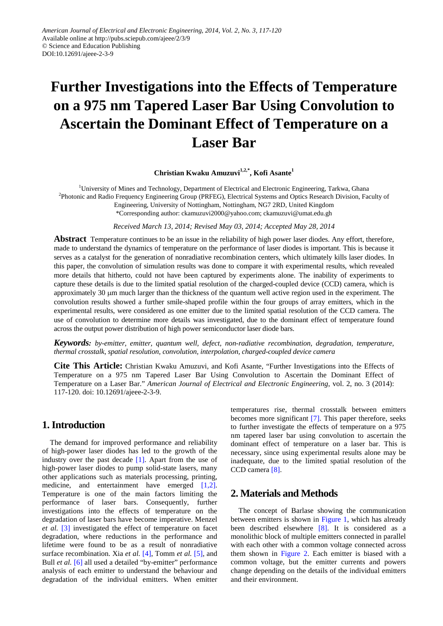# **Further Investigations into the Effects of Temperature on a 975 nm Tapered Laser Bar Using Convolution to Ascertain the Dominant Effect of Temperature on a Laser Bar**

#### **Christian Kwaku Amuzuvi1,2,\* , Kofi Asante<sup>1</sup>**

<sup>1</sup>University of Mines and Technology, Department of Electrical and Electronic Engineering, Tarkwa, Ghana <sup>2</sup>Photonic and Radio Frequency Engineering Group (PRFEG), Electrical Systems and Optics Research Division, Faculty of Engineering, University of Nottingham, Nottingham, NG7 2RD, United Kingdom \*Corresponding author: ckamuzuvi2000@yahoo.com; ckamuzuvi@umat.edu.gh

*Received March 13, 2014; Revised May 03, 2014; Accepted May 28, 2014*

**Abstract** Temperature continues to be an issue in the reliability of high power laser diodes. Any effort, therefore, made to understand the dynamics of temperature on the performance of laser diodes is important. This is because it serves as a catalyst for the generation of nonradiative recombination centers, which ultimately kills laser diodes. In this paper, the convolution of simulation results was done to compare it with experimental results, which revealed more details that hitherto, could not have been captured by experiments alone. The inability of experiments to capture these details is due to the limited spatial resolution of the charged-coupled device (CCD) camera, which is approximately 30  $\mu$ m much larger than the thickness of the quantum well active region used in the experiment. The convolution results showed a further smile-shaped profile within the four groups of array emitters, which in the experimental results, were considered as one emitter due to the limited spatial resolution of the CCD camera. The use of convolution to determine more details was investigated, due to the dominant effect of temperature found across the output power distribution of high power semiconductor laser diode bars.

*Keywords: by-emitter, emitter, quantum well, defect, non-radiative recombination, degradation, temperature, thermal crosstalk, spatial resolution, convolution, interpolation, charged-coupled device camera*

**Cite This Article:** Christian Kwaku Amuzuvi, and Kofi Asante, "Further Investigations into the Effects of Temperature on a 975 nm Tapered Laser Bar Using Convolution to Ascertain the Dominant Effect of Temperature on a Laser Bar." *American Journal of Electrical and Electronic Engineering*, vol. 2, no. 3 (2014): 117-120. doi: 10.12691/ajeee-2-3-9.

### **1. Introduction**

The demand for improved performance and reliability of high-power laser diodes has led to the growth of the industry over the past decade  $[1]$ . Apart from the use of high-power laser diodes to pump solid-state lasers, many other applications such as materials processing, printing, medicine, and entertainment have emerged [\[1,2\].](#page-3-0) Temperature is one of the main factors limiting the performance of laser bars. Consequently, further investigations into the effects of temperature on the degradation of laser bars have become imperative. Menzel *et al.* [\[3\]](#page-3-1) investigated the effect of temperature on facet degradation, where reductions in the performance and lifetime were found to be as a result of nonradiative surface recombination. Xia *et al.* [\[4\],](#page-3-2) Tomm *et al.* [\[5\],](#page-3-3) and Bull *et al.* [\[6\]](#page-3-4) all used a detailed "by-emitter" performance analysis of each emitter to understand the behaviour and degradation of the individual emitters. When emitter temperatures rise, thermal crosstalk between emitters becomes more significant [\[7\].](#page-3-5) This paper therefore, seeks to further investigate the effects of temperature on a 975 nm tapered laser bar using convolution to ascertain the dominant effect of temperature on a laser bar. This is necessary, since using experimental results alone may be inadequate, due to the limited spatial resolution of the CCD camer[a \[8\].](#page-3-6)

## **2. Materials and Methods**

The concept of Barlase showing the communication between emitters is shown in [Figure 1,](#page-1-0) which has already been described elsewhere [\[8\].](#page-3-6) It is considered as a monolithic block of multiple emitters connected in parallel with each other with a common voltage connected across them shown in [Figure 2.](#page-1-1) Each emitter is biased with a common voltage, but the emitter currents and powers change depending on the details of the individual emitters and their environment.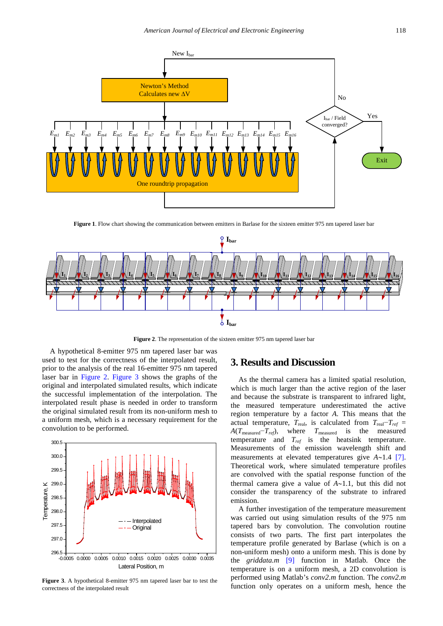<span id="page-1-0"></span>

**Figure 1**. Flow chart showing the communication between emitters in Barlase for the sixteen emitter 975 nm tapered laser bar

<span id="page-1-1"></span>

**Figure 2**. The representation of the sixteen emitter 975 nm tapered laser bar

A hypothetical 8-emitter 975 nm tapered laser bar was used to test for the correctness of the interpolated result, prior to the analysis of the real 16-emitter 975 nm tapered laser bar in [Figure 2.](#page-1-1) [Figure 3](#page-1-2) shows the graphs of the original and interpolated simulated results, which indicate the successful implementation of the interpolation. The interpolated result phase is needed in order to transform the original simulated result from its non-uniform mesh to a uniform mesh, which is a necessary requirement for the convolution to be performed.

<span id="page-1-2"></span>

**Figure 3**. A hypothetical 8-emitter 975 nm tapered laser bar to test the correctness of the interpolated result

## **3. Results and Discussion**

As the thermal camera has a limited spatial resolution, which is much larger than the active region of the laser and because the substrate is transparent to infrared light, the measured temperature underestimated the active region temperature by a factor *A*. This means that the actual temperature,  $T_{\text{real}}$ , is calculated from  $T_{\text{real}}-T_{\text{ref}} =$ *A*(*T*<sub>measured</sub>−*T<sub>ref</sub>*), where *T*<sub>measured</sub> is the measured temperature and  $T_{ref}$  is the heatsink temperature. Measurements of the emission wavelength shift and measurements at elevated temperatures give *A*∼1.4 [\[7\].](#page-3-5) Theoretical work, where simulated temperature profiles are convolved with the spatial response function of the thermal camera give a value of *A*∼1.1, but this did not consider the transparency of the substrate to infrared emission.

A further investigation of the temperature measurement was carried out using simulation results of the 975 nm tapered bars by convolution. The convolution routine consists of two parts. The first part interpolates the temperature profile generated by Barlase (which is on a non-uniform mesh) onto a uniform mesh. This is done by the *griddata.m* [\[9\]](#page-3-7) function in Matlab. Once the temperature is on a uniform mesh, a 2D convolution is performed using Matlab's *conv2.m* function. The *conv2.m* function only operates on a uniform mesh, hence the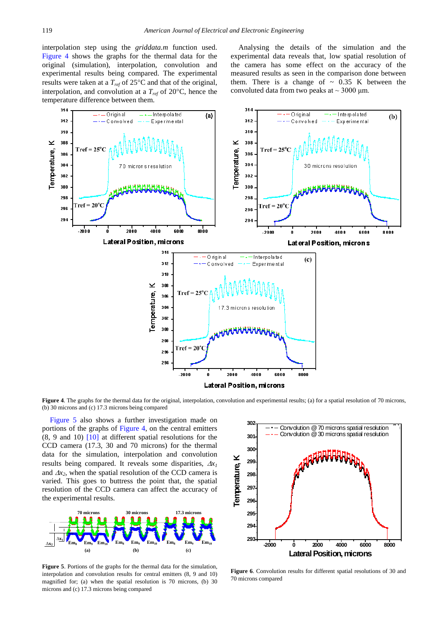interpolation step using the *griddata.m* function used. [Figure 4](#page-2-0) shows the graphs for the thermal data for the original (simulation), interpolation, convolution and experimental results being compared. The experimental results were taken at a *Tref* of 25°C and that of the original, interpolation, and convolution at a  $T_{ref}$  of 20 $\degree$ C, hence the temperature difference between them.

Analysing the details of the simulation and the experimental data reveals that, low spatial resolution of the camera has some effect on the accuracy of the measured results as seen in the comparison done between them. There is a change of  $\sim 0.35$  K between the convoluted data from two peaks at  $\sim$  3000 µm.

<span id="page-2-0"></span>

**Figure 4**. The graphs for the thermal data for the original, interpolation, convolution and experimental results; (a) for a spatial resolution of 70 microns, (b) 30 microns and (c) 17.3 microns being compared

[Figure 5](#page-2-1) also shows a further investigation made on portions of the graphs of [Figure 4,](#page-2-0) on the central emitters  $(8, 9, 10)$  [\[10\]](#page-3-8) at different spatial resolutions for the CCD camera (17.3, 30 and 70 microns) for the thermal data for the simulation, interpolation and convolution **results being compared.** It reveals some disparities,  $\Delta x_1$  results being compared. It reveals some disparities,  $\Delta x_1$ and  $\Delta x_2$ , when the spatial resolution of the CCD camera is varied. This goes to buttress the point that, the spatial resolution of the CCD camera can affect the accuracy of the experimental results. ifi<br>a<br>n,

<span id="page-2-1"></span>

**Figure 5**. Portions of the graphs for the thermal data for the simulation, interpolation and convolution results for central emitters (8, 9 and 10) magnified for; (a) when the spatial resolution is 70 microns, (b) 30 microns and (c) 17.3 microns being compared

<span id="page-2-2"></span>

**Figure 6**. Convolution results for different spatial resolutions of 30 and 70 microns compared